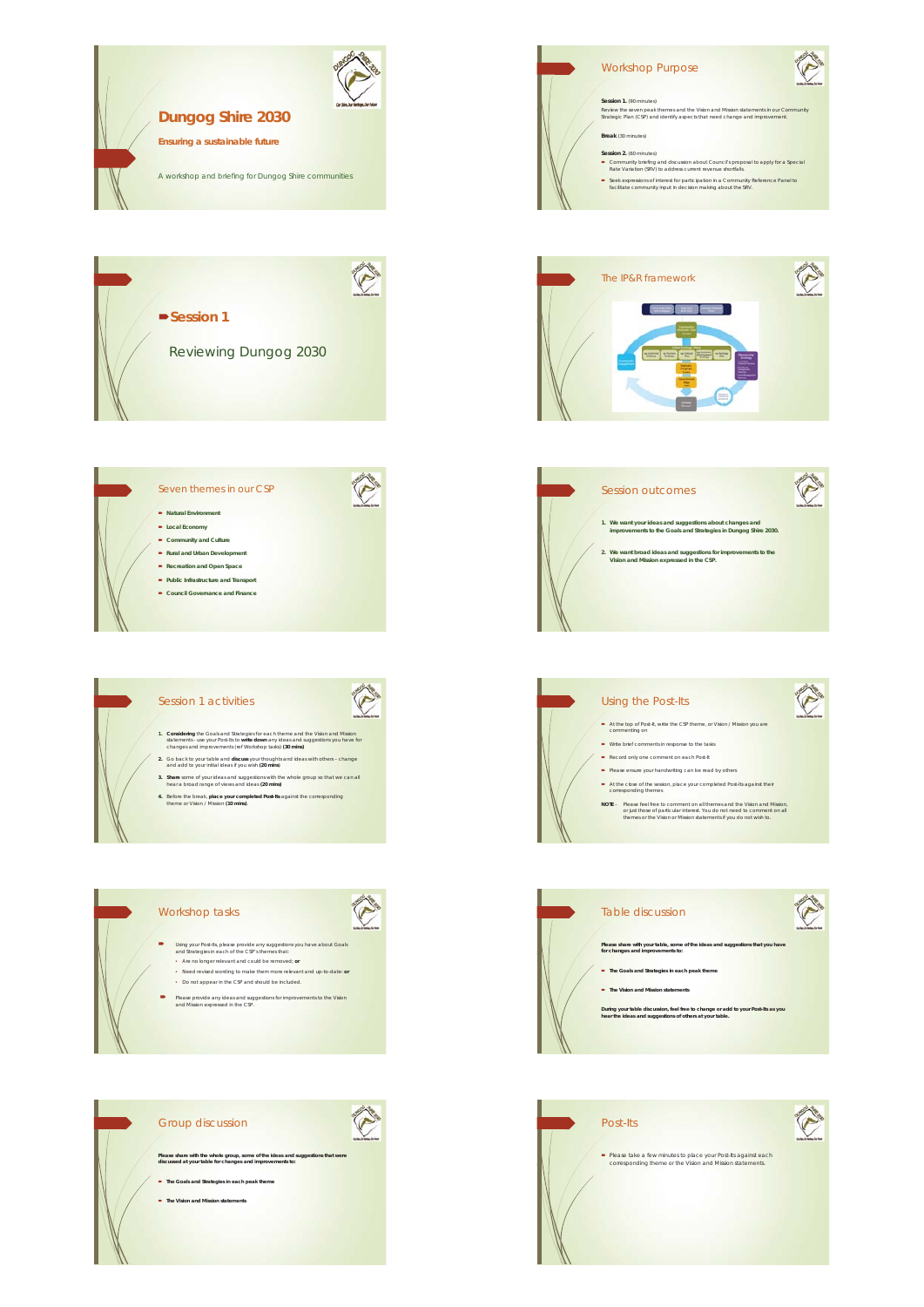

Group discussion

**The Goals and Strategies in each peak them The Vision and Mission statements** 

**Please share with the whole group, some of the ideas and suggestions that were discussed at your table for changes and improvements to:**

O

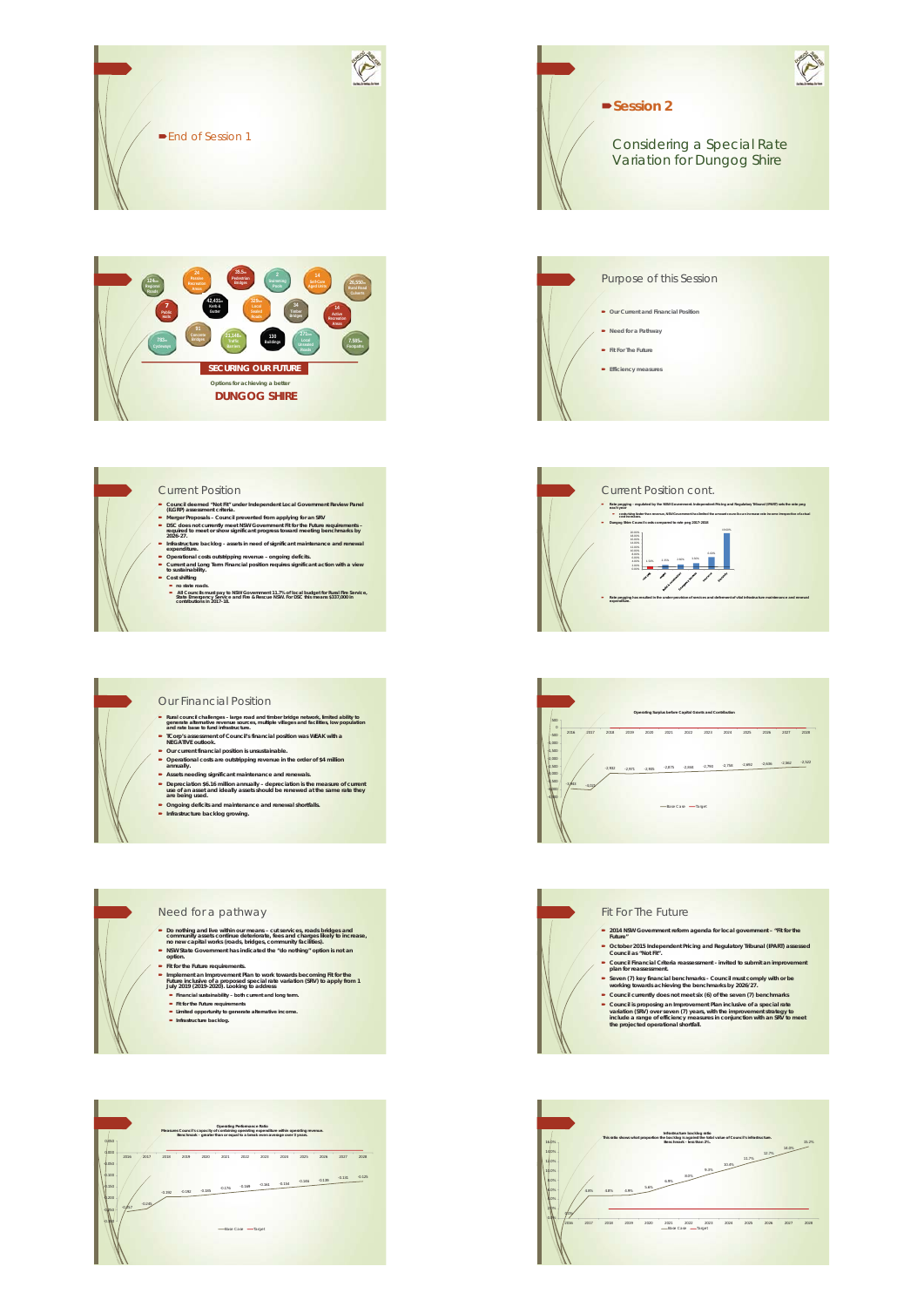



#### Current Position

- 
- Council deemed "Not Fit" under Independent Local Government Review Panel<br>
(ILGRP) assessment criteria.<br> **Merger Proposals Council prevented from applying for an SRV**<br> **Merger Proposals Council prevented from applying**
- 
- Infrastructure backlog assets in need of significant maintenance and renewal<br>■ expenditure.<br>■ Operational costs outstripping revenue ongoing deficits.<br>■ Current and Long Term Financial position requires significant
- 
- Cost shifting<br>
Cost shifting<br>
All Councils must pay to NSW Government 11.7% of local budget for Rural Fire Service,<br>
State Emergency Service and Fire & Rescue NSW. For DSC this means \$337,000 in<br>
contitibutions in 2017-18.

#### Our Financial Position

- **Proraignment changers large road and timber bridge network, limited ability to generate alternative revenue sources, multiple villages and facilities, low population and rate base to fund infrastructure.**<br> **Proraignment**
- 
- 
- 
- **Our current financial position is unsustainable.**<br> **•** Operational costs are outstripping revenue in the order of \$4 million<br> **annually.**<br> **•** Assets needing significant manitenance and renewals.<br> **•** Depreciation is 1
- 

#### Need for a pathway

- Do nothing and live within our means cut services, roads bridges and<br>community assets continue deteriorate, fees and charges likely to increase,<br>no new capital works (roads, bridges, community facilities).<br>■ NSW State
- Fil for the Future requirements.<br>
 In phement an improvement Plan to work towards becoming Fil for the Future inclusive of a proposed special rate variation (SRV) to apply from 1<br>
July 2019 (2019-2020). Looking to addr
	-





Considering a Special Rate Variation for Dungog Shire

**Session 2** 





#### Fit For The Future

- 
- 
- 2014 NSW Government reform agenda for local government -- "Fit for the<br>
Putcher<br>
Cotober 2015 Independent Pricing and Regulatory Tribunal (IPART) assessed<br>
Council 8 a "Not Fit".<br>
Council Financial Criteria reassessment -
- 
- 
- Seven (7) key financial benchmarks Council must comply with or be<br>working towards achieving the benchmarks by 2026/27.<br>Council currently does not meet six (6) of the seven (7) benchmarks<br>council is proposing an improvem
- 

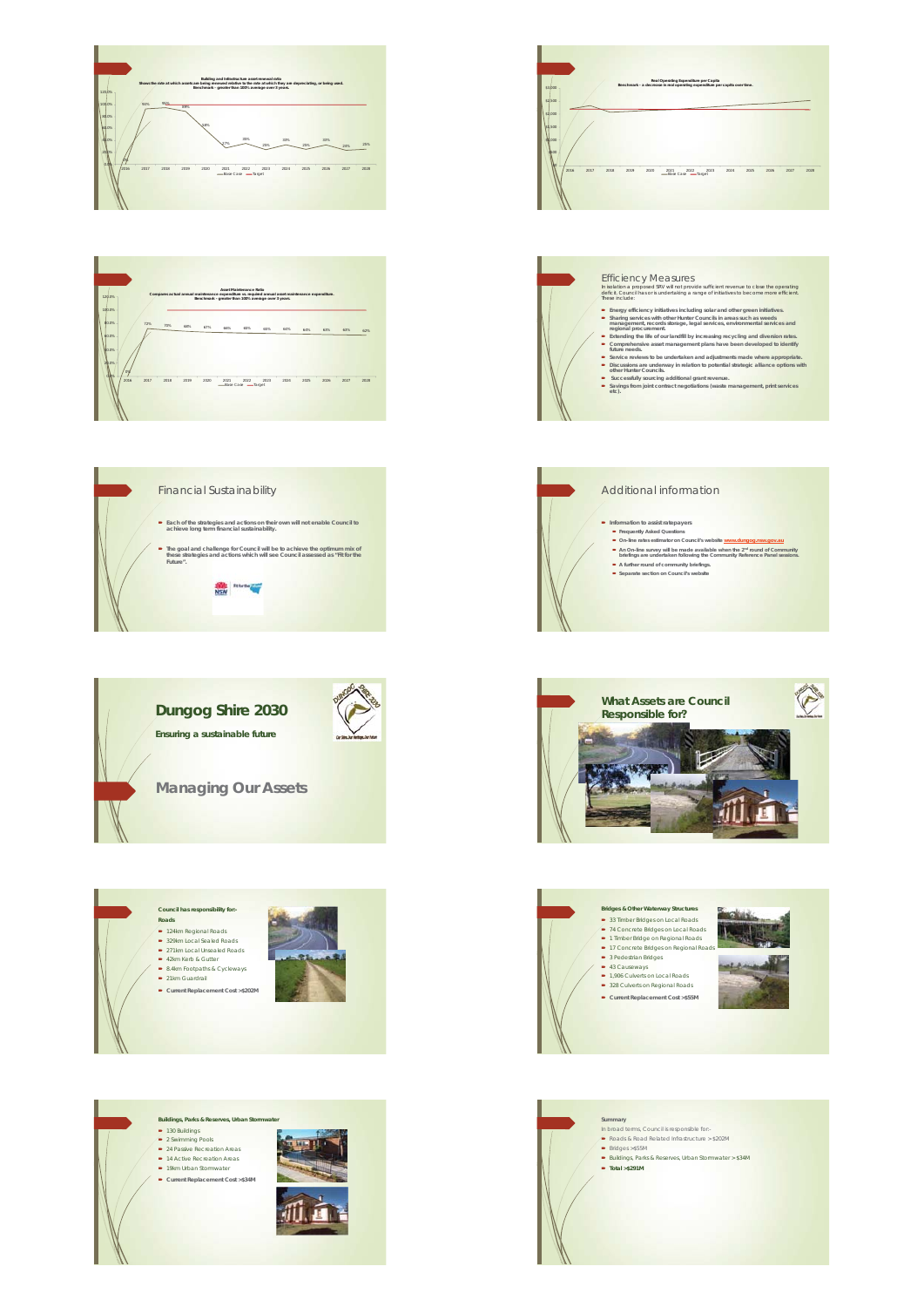













### Efficiency Measures

- In isolation a proposed SRV will not provide sufficient revenue to close the operating deficit. Council has or is undertaking a range of initiatives to become more efficient. These include:
- 
- 
- **E** Intergo fiftency intilatives including solar and other green initiatives.<br> **Example School of the Council in a reason and the set of the set of management, lected strongle, legal services, environmental services and m**
- 
- 
- 

## Additional information ■ Information to assist ratepayers<br>
■ Frequently Atked Questions<br>
→ On-line rates estimator on Council's website www.dungog.nsw.gov.au<br>
■ An-line insure will be made available when the 2<sup>44</sup> round of Community<br>
briefings **A further round of community briefings. Separate section on Council's website**





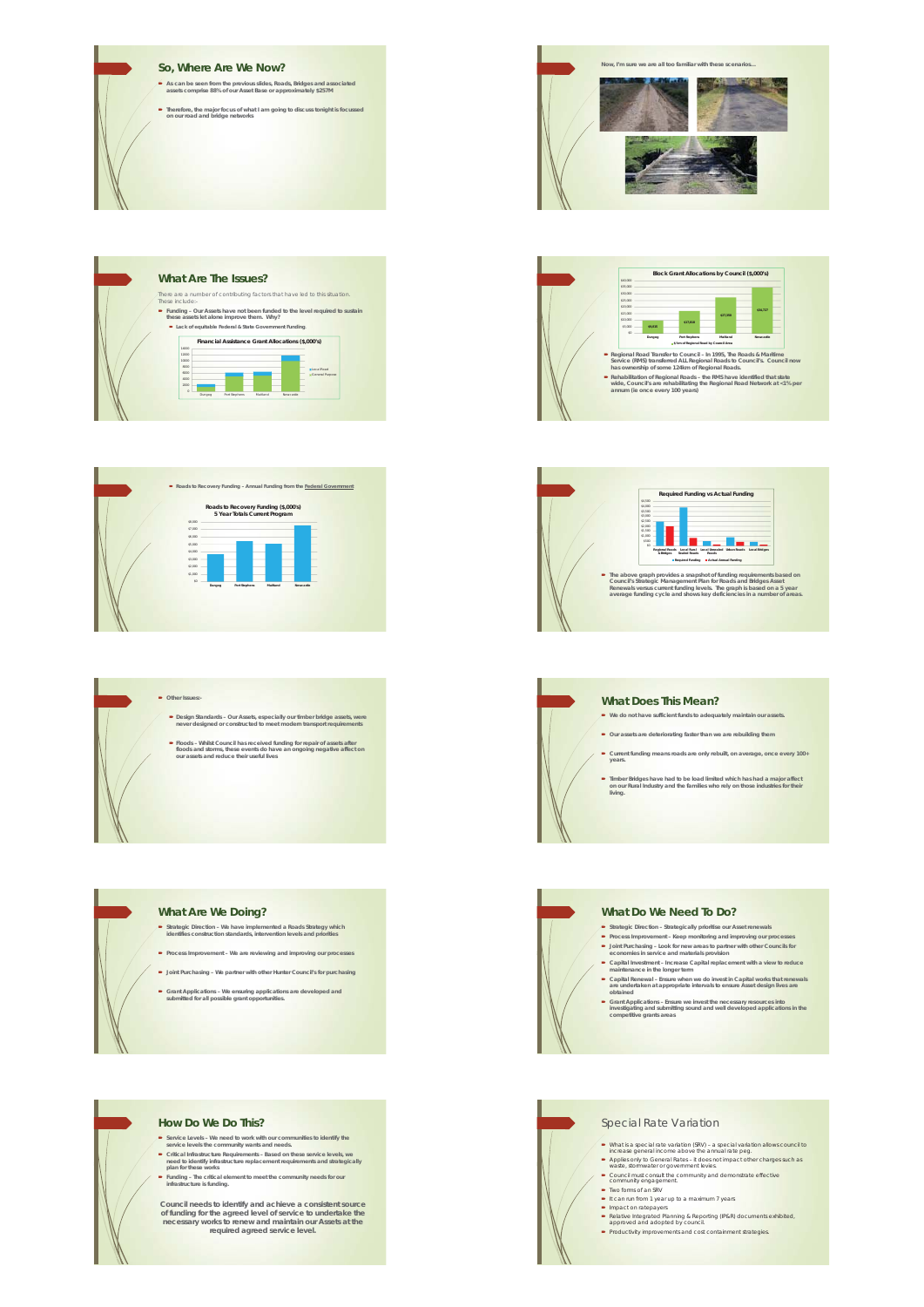





**C** Other Issues

**Design Standards – Our Assets, especially our timber bridge assets, were never designed or constructed to meet modern transport requirements**

**Floods – Whilst Council has received funding for repair of assets after floods and storms, these events do have an ongoing negative affect on our assets and reduce their useful lives**



#### **What Are We Doing?**

- **Strategic Direction We have implemented a Roads Strategy which identifies construction standards, intervention levels and priorities**
- **Process Improvement We are reviewing and improving our processes**
- **Joint Purchasing We partner with other Hunter Council's for purchasing**
- **Grant Applications We ensuring applications are developed and submitted for all possible grant opportunities.**



- Service Levels We need to work with our communities to identify the<br>service levels the community wants and needs.<br>Critical Infrastructure Requirements Based on these service levels, we<br>meed to identify infrastructure r
- 

Council needs to identify and achieve a consistent source<br>of funding for the agreed level of service to undertake the<br>necessary works to renew and maintain our Assets at the<br>necessary works to renew and maintain our Assets







#### **What Does This Mean?**

- **We do not have sufficient funds to adequately maintain our assets.**
- **Our assets are deteriorating faster than we are rebuilding them**
- **Current funding means roads are only rebuilt, on average, once every 100+ years.**
- **Timber Bridges have had to be load limited which has had a major affect on our Rural Industry and the families who rely on those industries for their living.**



- Special Rate Variation
- What is a special rate variation (SW) a special variation alows council to increase general income above the annual rate peg.<br>
 Applies only to General Rates it does not inpact other charges such as<br>
 waste, storm
- 
- 
- 
- 
- 
- **Productivity improvements and cost containment strategies.**
- Impact on ratepayers Relative Integrated Planning & Reporting (IP&R) documents exhibited, approved and adopted by council.